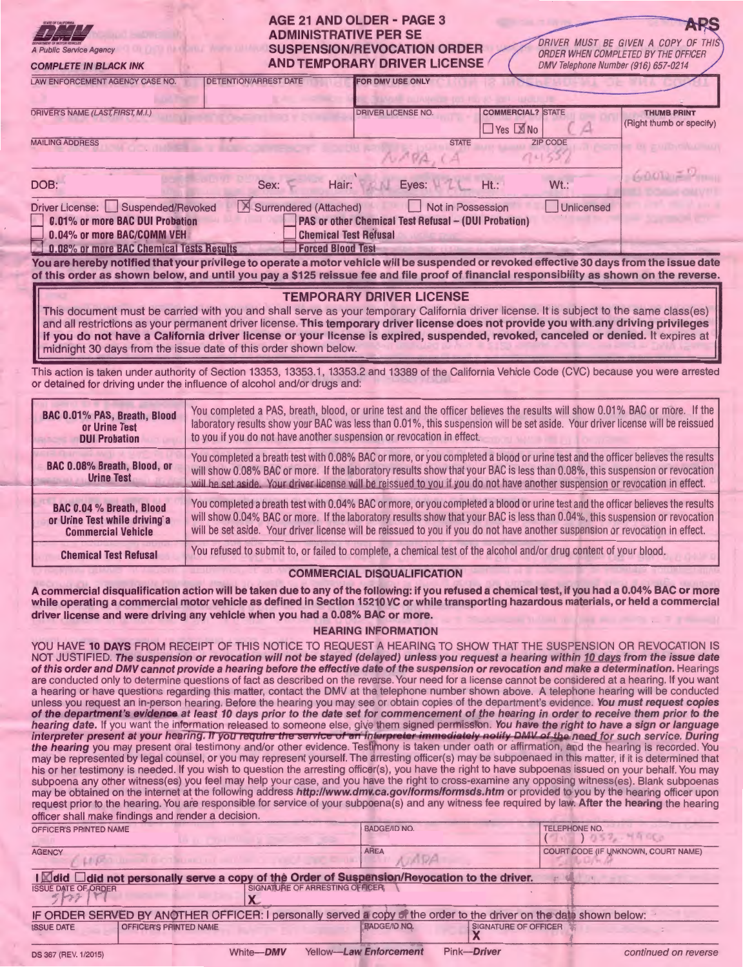| A Public Service Agency<br><b>COMPLETE IN BLACK INK</b>                                                                                                                                                                                                                                                                                                                                                                                                                                                                                                                                                                                                                                 | AGE 21 AND OLDER - PAGE 3<br><b>ADMINISTRATIVE PER SE</b><br>DRIVER MUST BE GIVEN A COPY OF THIS<br><b>SUSPENSION/REVOCATION ORDER</b><br>ORDER WHEN COMPLETED BY THE OFFICER<br><b>AND TEMPORARY DRIVER LICENSE</b><br>DMV Telephone Number (916) 657-0214                                                                                                                                     |  |  |  |
|-----------------------------------------------------------------------------------------------------------------------------------------------------------------------------------------------------------------------------------------------------------------------------------------------------------------------------------------------------------------------------------------------------------------------------------------------------------------------------------------------------------------------------------------------------------------------------------------------------------------------------------------------------------------------------------------|-------------------------------------------------------------------------------------------------------------------------------------------------------------------------------------------------------------------------------------------------------------------------------------------------------------------------------------------------------------------------------------------------|--|--|--|
| LAW ENFORCEMENT AGENCY CASE NO.<br>DRIVER'S NAME (LAST, FIRST, M.I.)<br><b>MAILING ADDRESS</b>                                                                                                                                                                                                                                                                                                                                                                                                                                                                                                                                                                                          | <b>DETENTION/ARREST DATE</b><br><b>FOR DMV USE ONLY</b><br><b>COMMERCIAL? STATE</b><br><b>DRIVER LICENSE NO.</b><br><b>THUMB PRINT</b><br>(Right thumb or specify)<br>$\Box$ Yes $\Box$ No<br><b>ZIP CODE</b><br><b>STATE</b>                                                                                                                                                                   |  |  |  |
| 山のの同声<br>Eyes: HILL<br>Ht.:<br>Wt.:<br>Sex:<br>DOB:<br>Hair:<br>Unlicensed<br>Not in Possession<br>Surrendered (Attached)<br>Driver License: Suspended/Revoked<br>PAS or other Chemical Test Refusal - (DUI Probation)<br>0.01% or more BAC DUI Probation<br><b>Chemical Test Refusal</b><br>0.04% or more BAC/COMM VEH<br><b>Forced Blood Test</b><br>0.08% or more BAC Chemical Tests Results<br>You are hereby notified that your privilege to operate a motor vehicle will be suspended or revoked effective 30 days from the issue date<br>of this order as shown below, and until you pay a \$125 reissue fee and file proof of financial responsibility as shown on the reverse. |                                                                                                                                                                                                                                                                                                                                                                                                 |  |  |  |
| <b>TEMPORARY DRIVER LICENSE</b><br>This document must be carried with you and shall serve as your temporary California driver license. It is subject to the same class(es)<br>and all restrictions as your permanent driver license. This temporary driver license does not provide you with any driving privileges<br>if you do not have a California driver license or your license is expired, suspended, revoked, canceled or denied. It expires at<br>midnight 30 days from the issue date of this order shown below.                                                                                                                                                              |                                                                                                                                                                                                                                                                                                                                                                                                 |  |  |  |
| This action is taken under authority of Section 13353, 13353.1, 13353.2 and 13389 of the California Vehicle Code (CVC) because you were arrested<br>or detained for driving under the influence of alcohol and/or drugs and:                                                                                                                                                                                                                                                                                                                                                                                                                                                            |                                                                                                                                                                                                                                                                                                                                                                                                 |  |  |  |
| BAC 0.01% PAS, Breath, Blood<br>or Urine Test<br><b>DUI Probation</b>                                                                                                                                                                                                                                                                                                                                                                                                                                                                                                                                                                                                                   | You completed a PAS, breath, blood, or urine test and the officer believes the results will show 0.01% BAC or more. If the<br>laboratory results show your BAC was less than 0.01%, this suspension will be set aside. Your driver license will be reissued<br>to you if you do not have another suspension or revocation in effect.                                                            |  |  |  |
| BAC 0.08% Breath, Blood, or<br><b>Urine Test</b>                                                                                                                                                                                                                                                                                                                                                                                                                                                                                                                                                                                                                                        | You completed a breath test with 0.08% BAC or more, or you completed a blood or urine test and the officer believes the results<br>will show 0.08% BAC or more. If the laboratory results show that your BAC is less than 0.08%, this suspension or revocation<br>will be set aside. Your driver license will be reissued to you if you do not have another suspension or revocation in effect. |  |  |  |

| <b>BAC 0.04 % Breath, Blood</b><br>or Urine Test while driving a<br><b>Commercial Vehicle</b> | You completed a breath test with 0.04% BAC or more, or you completed a blood or urine test and the officer believes the results<br>will show 0.04% BAC or more. If the laboratory results show that your BAC is less than 0.04%, this suspension or revocation<br>will be set aside. Your driver license will be reissued to you if you do not have another suspension or revocation in effect. |
|-----------------------------------------------------------------------------------------------|-------------------------------------------------------------------------------------------------------------------------------------------------------------------------------------------------------------------------------------------------------------------------------------------------------------------------------------------------------------------------------------------------|
| <b>Chemical Test Refusal</b>                                                                  | You refused to submit to, or failed to complete, a chemical test of the alcohol and/or drug content of your blood.                                                                                                                                                                                                                                                                              |

## **COMMERCIAL DISQUALIFICATION**

**A commercial disqualification action will be taken due to any of the following: if you refused a chemical test, if you had a 0.04% BAC or more while operating a commercial motor vehicle as defined in Section 15210 VC or while transporting hazardous materials, or held a commercial driver license and were driving any vehicle when you had a 0.08% BAC or more.** 

## **HEARING INFORMATION**

YOU HAVE **10 DAYS** FROM RECEIPT OF THIS NOTICE TO REQUEST A HEARING TO SHOW THAT THE SUSPENSION OR REVOCATION IS NOT JUSTIFIED. **The suspension or revocation will not be stayed (delayed) unless you request a hearing within 10 days from the issue date of this order and DMV cannot provide a hearing before the effective date of the suspension or revocation and make a determination.** Hearings are conducted only to determine questions of fact as described on the reverse. Your need for a license cannot be considered at a hearing. If you want a hearing or have questions regarding this matter, contact the OMV at the telephone number shown above. A telephone hearing will be conducted unless you request an in-person hearing. Before the hearing you may see or obtain copies of the department's evidence. **You must request copies**  of the department's evidence at least 10 days prior to the date set for commencement of the hearing in order to receive them prior to the **hearing date.** If you want the information released to someone else, give them signed permission. **You have the right to have a sign or language**  interpreter present at your hearing. If you requi<del>re the service of an interpreter immediately notify DMV of the need for such service. During</del> **the hearing** you may present oral testimony and/or other evidence. Testimony is taken under oath or affirmation, and the hearing is recorded. You may be represented by legal counsel, or you may represent yourself. The arresting officer(s) may be subpoenaed in this matter, if it is determined that his or her testimony is needed. If you wish to question the arresting officer(s), you have the right to have subpoenas issued on your behalf. You may subpoena any other witness(es) you feel may help your case, and you have the right to cross-examine any opposing witness(es). Blank subpoenas may be obtained on the internet at the following address **http://www.dmv.ca.gov/forms/formsds.htm** or provided to you by the hearing officer upon request prior to the hearing. You are responsible for service of your subpoena(s) and any witness fee required by law. **After the hearing** the hearing officer shall make findings and render a decision.

| OFFICER'S PRINTED NAME                                                                                             | <b>BADGE/ID NO.</b>                   | <b>TELEPHONE NO.</b><br>1052.44602  |
|--------------------------------------------------------------------------------------------------------------------|---------------------------------------|-------------------------------------|
| <b>AGENCY</b><br>LA CONTINUES OF CITIZENS IN THE CONTINUES.                                                        | <b>AREA</b><br>MDA                    | COURT CODE (IF UNKNOWN, COURT NAME) |
| I Zidd I did not personally serve a copy of the Order of Suspension/Revocation to the driver.                      |                                       |                                     |
| <b>ISSUE DATE OF ORDER</b>                                                                                         | SIGNATURE OF ARRESTING OFFICER        |                                     |
| IF ORDER SERVED BY ANOTHER OFFICER: I personally served a copy of the order to the driver on the date shown below: |                                       |                                     |
| <b>OFFICER'S PRINTED NAME</b><br><b>ISSUE DATE</b>                                                                 | <b>BADGE/ID NO.</b>                   | <b>SIGNATURE OF OFFICER</b>         |
| White-DMV<br>DS 367 (REV. 1/2015)                                                                                  | Pink-Driver<br>Yellow-Law Enforcement | continued on reverse                |